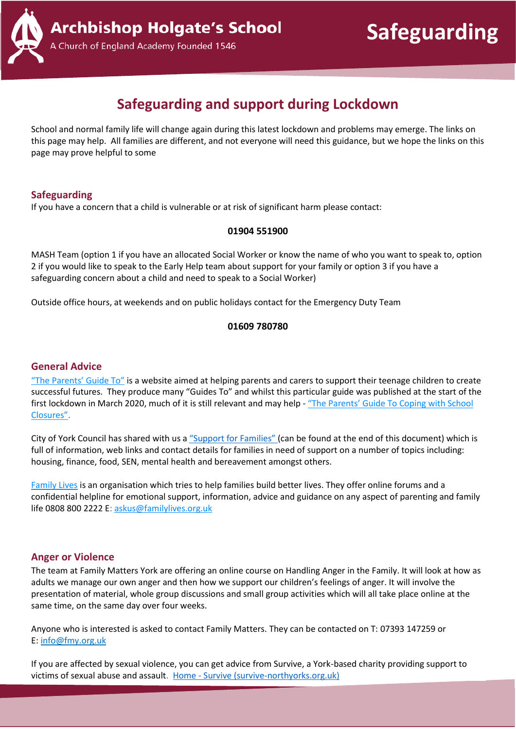**Safeguarding**



### A Church of England Academy Founded 1546

## **Safeguarding and support during Lockdown**

School and normal family life will change again during this latest lockdown and problems may emerge. The links on this page may help. All families are different, and not everyone will need this guidance, but we hope the links on this page may prove helpful to some

#### **Safeguarding**

If you have a concern that a child is vulnerable or at risk of significant harm please contact:

#### **01904 551900**

MASH Team (option 1 if you have an allocated Social Worker or know the name of who you want to speak to, option 2 if you would like to speak to the Early Help team about support for your family or option 3 if you have a safeguarding concern about a child and need to speak to a Social Worker)

Outside office hours, at weekends and on public holidays contact for the Emergency Duty Team

#### **01609 780780**

#### **General Advice**

"The [Parents'](https://www.theparentsguideto.co.uk/) Guide To" is a website aimed at helping parents and carers to support their teenage children to create successful futures. They produce many "Guides To" and whilst this particular guide was published at the start of the first lockdown in March 2020, much of it is still relevant and may help - "The [Parents'](http://www.millthorpeschool.co.uk/millthorpe/wp-content/uploads/The-Parents-Guide-to-Coping-with-school-closuresMARCH2020.pdf) Guide To Coping with School [Closures"](http://www.millthorpeschool.co.uk/millthorpe/wp-content/uploads/The-Parents-Guide-to-Coping-with-school-closuresMARCH2020.pdf).

City of York Council has shared with us a "Support for [Families"](#page-2-0) (can be found at the end of this document) which is full of information, web links and contact details for families in need of support on a number of topics including: housing, finance, food, SEN, mental health and bereavement amongst others.

[Family](https://www.familylives.org.uk/) Lives is an organisation which tries to help families build better lives. They offer online forums and a confidential helpline for emotional support, information, advice and guidance on any aspect of parenting and family life 0808 800 2222 E: [askus@familylives.org.uk](mailto:askus@familylives.org.uk)

#### **Anger or Violence**

The team at Family Matters York are offering an online course on Handling Anger in the Family. It will look at how as adults we manage our own anger and then how we support our children's feelings of anger. It will involve the presentation of material, whole group discussions and small group activities which will all take place online at the same time, on the same day over four weeks.

Anyone who is interested is asked to contact Family Matters. They can be contacted on T: 07393 147259 or E: [info@fmy.org.uk](mailto:info@fmy.org.uk)

If you are affected by sexual violence, you can get advice from Survive, a York-based charity providing support to victims of sexual abuse and assault. Home - [Survive \(survive-northyorks.org.uk\)](https://www.survive-northyorks.org.uk/)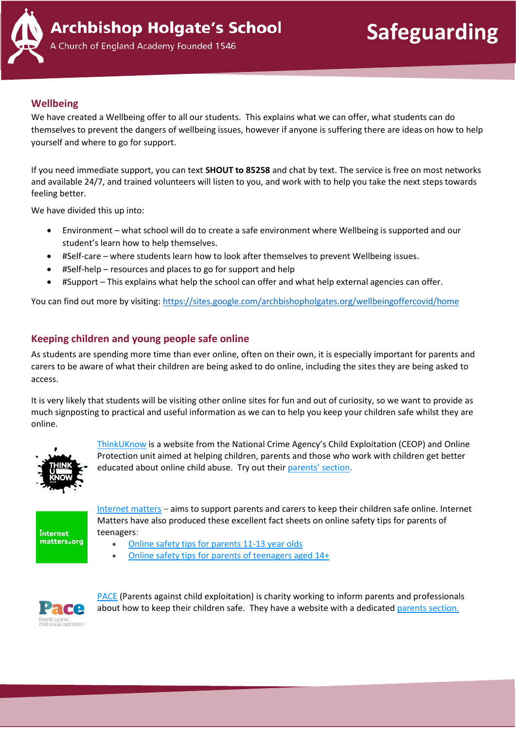

**Safeguarding**

Church of England Academy Founded 1546

#### **Wellbeing**

We have created a Wellbeing offer to all our students. This explains what we can offer, what students can do themselves to prevent the dangers of wellbeing issues, however if anyone is suffering there are ideas on how to help yourself and where to go for support.

If you need immediate support, you can text **SHOUT to 85258** and chat by text. The service is free on most networks and available 24/7, and trained volunteers will listen to you, and work with to help you take the next steps towards feeling better.

We have divided this up into:

- Environment what school will do to create a safe environment where Wellbeing is supported and our student's learn how to help themselves.
- #Self-care where students learn how to look after themselves to prevent Wellbeing issues.
- #Self-help resources and places to go for support and help
- #Support This explains what help the school can offer and what help external agencies can offer.

You can find out more by visiting:<https://sites.google.com/archbishopholgates.org/wellbeingoffercovid/home>

#### **Keeping children and young people safe online**

As students are spending more time than ever online, often on their own, it is especially important for parents and carers to be aware of what their children are being asked to do online, including the sites they are being asked to access.

It is very likely that students will be visiting other online sites for fun and out of curiosity, so we want to provide as much signposting to practical and useful information as we can to help you keep your children safe whilst they are online.



[ThinkUKnow](https://www.thinkuknow.co.uk/) is a website from the National Crime Agency's Child Exploitation (CEOP) and Online Protection unit aimed at helping children, parents and those who work with children get better educated about online child abuse. Try out their [parents'](https://www.thinkuknow.co.uk/parents/) section.



[Internet](https://www.internetmatters.org/?gclid=EAIaIQobChMIktuA5LWK2wIVRYXVCh2afg2aEAAYASAAEgIJ5vD_BwE) matters – aims to support parents and carers to keep their children safe online. Internet Matters have also produced these excellent fact sheets on online safety tips for parents of teenagers:

- Online safety tips for [parents](https://pwxp5srs168nsac2n3fnjyaa-wpengine.netdna-ssl.com/wp-content/uploads/2019/04/Internet-matters-Parent-Age-Guides-11-13.pdf) 11-13 year olds
- Online safety tips for parents of [teenagers](https://pwxp5srs168nsac2n3fnjyaa-wpengine.netdna-ssl.com/wp-content/uploads/2019/04/Internet-matters-Parent-Age-Guides-14.pdf) aged 14+



[PACE](https://paceuk.info/) (Parents against child exploitation) is charity working to inform parents and professionals about how to keep their children safe. They have a website with a dedicated parents [section.](https://paceuk.info/for-parents/)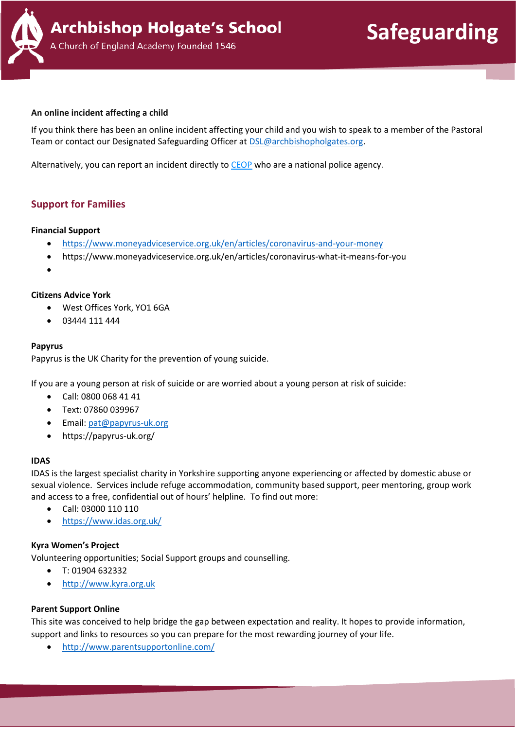

#### **An online incident affecting a child**

If you think there has been an online incident affecting your child and you wish to speak to a member of the Pastoral Team or contact our Designated Safeguarding Officer a[t DSL@archbishopholgates.org.](mailto:DSL@archbishopholgates.org)

Alternatively, you can report an incident directly to [CEOP](https://www.ceop.police.uk/safety-centre/) who are a national police agency.

#### <span id="page-2-0"></span>**Support for Families**

#### **Financial Support**

- <https://www.moneyadviceservice.org.uk/en/articles/coronavirus-and-your-money>
- https://www.moneyadviceservice.org.uk/en/articles/coronavirus-what-it-means-for-you
- •

#### **Citizens Advice York**

- West Offices York, YO1 6GA
- 03444 111 444

#### **Papyrus**

Papyrus is the UK Charity for the prevention of young suicide.

If you are a young person at risk of suicide or are worried about a young person at risk of suicide:

- Call: 0800 068 41 41
- Text: 07860 039967
- Email: [pat@papyrus-uk.org](mailto:pat@papyrus-uk.org)
- https://papyrus-uk.org/

#### **IDAS**

IDAS is the largest specialist charity in Yorkshire supporting anyone experiencing or affected by domestic abuse or sexual violence. Services include refuge accommodation, community based support, peer mentoring, group work and access to a free, confidential out of hours' helpline. To find out more:

- Call: 03000 110 110
- <https://www.idas.org.uk/>

#### **Kyra Women's Project**

Volunteering opportunities; Social Support groups and counselling.

- T: 01904 632332
- [http://www.kyra.org.uk](http://www.kyra.org.uk/)

#### **Parent Support Online**

This site was conceived to help bridge the gap between expectation and reality. It hopes to provide information, support and links to resources so you can prepare for the most rewarding journey of your life.

• <http://www.parentsupportonline.com/>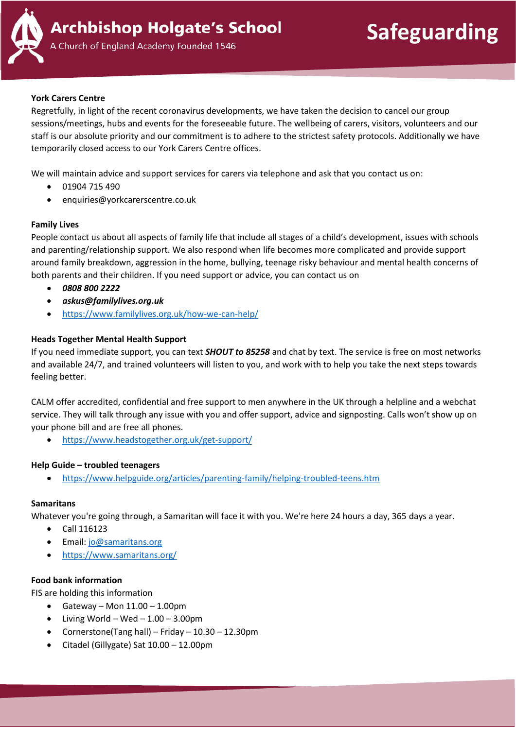

**Safeguarding**

A Church of England Academy Founded 1546

#### **York Carers Centre**

Regretfully, in light of the recent coronavirus developments, we have taken the decision to cancel our group sessions/meetings, hubs and events for the foreseeable future. The wellbeing of carers, visitors, volunteers and our staff is our absolute priority and our commitment is to adhere to the strictest safety protocols. Additionally we have temporarily closed access to our York Carers Centre offices.

We will maintain advice and support services for carers via telephone and ask that you contact us on:

- 01904 715 490
- enquiries@yorkcarerscentre.co.uk

#### **Family Lives**

People contact us about all aspects of family life that include all stages of a child's development, issues with schools and parenting/relationship support. We also respond when life becomes more complicated and provide support around family breakdown, aggression in the home, bullying, teenage risky behaviour and mental health concerns of both parents and their children. If you need support or advice, you can contact us on

- *0808 800 2222*
- *askus@familylives.org.uk*
- <https://www.familylives.org.uk/how-we-can-help/>

#### **Heads Together Mental Health Support**

If you need immediate support, you can text *SHOUT to 85258* and chat by text. The service is free on most networks and available 24/7, and trained volunteers will listen to you, and work with to help you take the next steps towards feeling better.

CALM offer accredited, confidential and free support to men anywhere in the UK through a helpline and a webchat service. They will talk through any issue with you and offer support, advice and signposting. Calls won't show up on your phone bill and are free all phones.

• <https://www.headstogether.org.uk/get-support/>

#### **Help Guide – troubled teenagers**

• <https://www.helpguide.org/articles/parenting-family/helping-troubled-teens.htm>

#### **Samaritans**

Whatever you're going through, a Samaritan will face it with you. We're here 24 hours a day, 365 days a year.

- Call 116123
- Email: [jo@samaritans.org](mailto:jo@samaritans.org)
- <https://www.samaritans.org/>

#### **Food bank information**

FIS are holding this information

- Gateway Mon  $11.00 1.00$ pm
- $\bullet$  Living World Wed 1.00 3.00pm
- Cornerstone(Tang hall) Friday 10.30 12.30pm
- Citadel (Gillygate) Sat 10.00 12.00pm